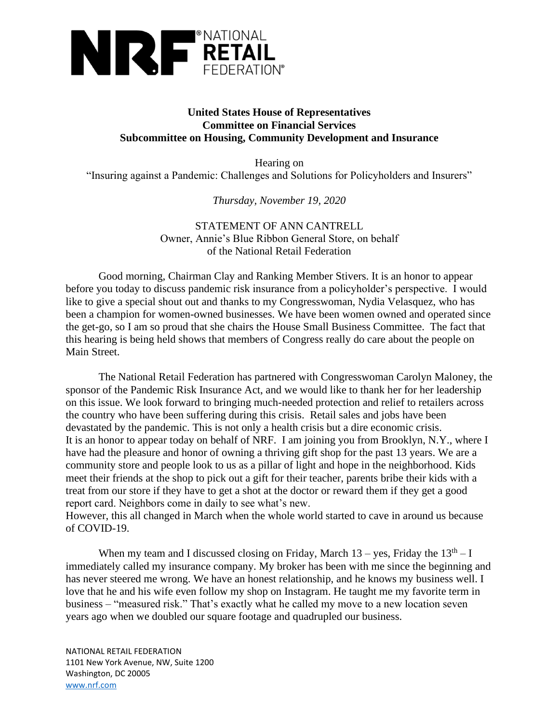

## **United States House of Representatives Committee on Financial Services Subcommittee on Housing, Community Development and Insurance**

Hearing on "Insuring against a Pandemic: Challenges and Solutions for Policyholders and Insurers"

*Thursday, November 19, 2020*

## STATEMENT OF ANN CANTRELL Owner, Annie's Blue Ribbon General Store, on behalf of the National Retail Federation

Good morning, Chairman Clay and Ranking Member Stivers. It is an honor to appear before you today to discuss pandemic risk insurance from a policyholder's perspective. I would like to give a special shout out and thanks to my Congresswoman, Nydia Velasquez, who has been a champion for women-owned businesses. We have been women owned and operated since the get-go, so I am so proud that she chairs the House Small Business Committee. The fact that this hearing is being held shows that members of Congress really do care about the people on Main Street.

The National Retail Federation has partnered with Congresswoman Carolyn Maloney, the sponsor of the Pandemic Risk Insurance Act, and we would like to thank her for her leadership on this issue. We look forward to bringing much-needed protection and relief to retailers across the country who have been suffering during this crisis. Retail sales and jobs have been devastated by the pandemic. This is not only a health crisis but a dire economic crisis. It is an honor to appear today on behalf of NRF. I am joining you from Brooklyn, N.Y., where I have had the pleasure and honor of owning a thriving gift shop for the past 13 years. We are a community store and people look to us as a pillar of light and hope in the neighborhood. Kids meet their friends at the shop to pick out a gift for their teacher, parents bribe their kids with a treat from our store if they have to get a shot at the doctor or reward them if they get a good report card. Neighbors come in daily to see what's new.

However, this all changed in March when the whole world started to cave in around us because of COVID-19.

When my team and I discussed closing on Friday, March  $13 - \text{yes}$ , Friday the  $13<sup>th</sup> - I$ immediately called my insurance company. My broker has been with me since the beginning and has never steered me wrong. We have an honest relationship, and he knows my business well. I love that he and his wife even follow my shop on Instagram. He taught me my favorite term in business – "measured risk." That's exactly what he called my move to a new location seven years ago when we doubled our square footage and quadrupled our business.

NATIONAL RETAIL FEDERATION 1101 New York Avenue, NW, Suite 1200 Washington, DC 20005 [www.nrf.com](http://www.nrf.com/)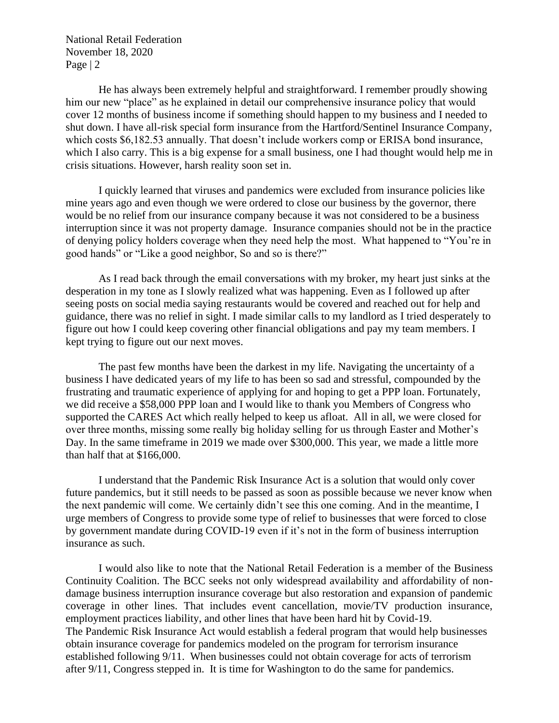National Retail Federation November 18, 2020 Page | 2

He has always been extremely helpful and straightforward. I remember proudly showing him our new "place" as he explained in detail our comprehensive insurance policy that would cover 12 months of business income if something should happen to my business and I needed to shut down. I have all-risk special form insurance from the Hartford/Sentinel Insurance Company, which costs \$6,182.53 annually. That doesn't include workers comp or ERISA bond insurance, which I also carry. This is a big expense for a small business, one I had thought would help me in crisis situations. However, harsh reality soon set in.

I quickly learned that viruses and pandemics were excluded from insurance policies like mine years ago and even though we were ordered to close our business by the governor, there would be no relief from our insurance company because it was not considered to be a business interruption since it was not property damage. Insurance companies should not be in the practice of denying policy holders coverage when they need help the most. What happened to "You're in good hands" or "Like a good neighbor, So and so is there?"

As I read back through the email conversations with my broker, my heart just sinks at the desperation in my tone as I slowly realized what was happening. Even as I followed up after seeing posts on social media saying restaurants would be covered and reached out for help and guidance, there was no relief in sight. I made similar calls to my landlord as I tried desperately to figure out how I could keep covering other financial obligations and pay my team members. I kept trying to figure out our next moves.

The past few months have been the darkest in my life. Navigating the uncertainty of a business I have dedicated years of my life to has been so sad and stressful, compounded by the frustrating and traumatic experience of applying for and hoping to get a PPP loan. Fortunately, we did receive a \$58,000 PPP loan and I would like to thank you Members of Congress who supported the CARES Act which really helped to keep us afloat. All in all, we were closed for over three months, missing some really big holiday selling for us through Easter and Mother's Day. In the same timeframe in 2019 we made over \$300,000. This year, we made a little more than half that at \$166,000.

I understand that the Pandemic Risk Insurance Act is a solution that would only cover future pandemics, but it still needs to be passed as soon as possible because we never know when the next pandemic will come. We certainly didn't see this one coming. And in the meantime, I urge members of Congress to provide some type of relief to businesses that were forced to close by government mandate during COVID-19 even if it's not in the form of business interruption insurance as such.

I would also like to note that the National Retail Federation is a member of the Business Continuity Coalition. The BCC seeks not only widespread availability and affordability of nondamage business interruption insurance coverage but also restoration and expansion of pandemic coverage in other lines. That includes event cancellation, movie/TV production insurance, employment practices liability, and other lines that have been hard hit by Covid-19. The Pandemic Risk Insurance Act would establish a federal program that would help businesses obtain insurance coverage for pandemics modeled on the program for terrorism insurance established following 9/11. When businesses could not obtain coverage for acts of terrorism after 9/11, Congress stepped in. It is time for Washington to do the same for pandemics.